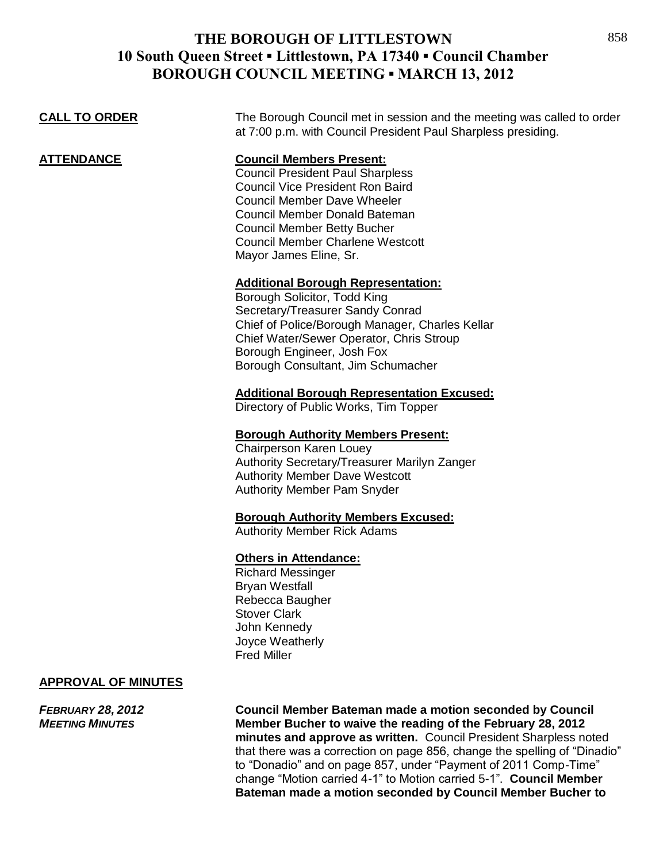| <b>CALL TO ORDER</b>       | The Borough Council met in session and the meeting was called to order<br>at 7:00 p.m. with Council President Paul Sharpless presiding.                                                                                                                                                                 |
|----------------------------|---------------------------------------------------------------------------------------------------------------------------------------------------------------------------------------------------------------------------------------------------------------------------------------------------------|
| ATTENDANCE                 | <b>Council Members Present:</b><br><b>Council President Paul Sharpless</b><br><b>Council Vice President Ron Baird</b><br><b>Council Member Dave Wheeler</b><br>Council Member Donald Bateman<br><b>Council Member Betty Bucher</b><br><b>Council Member Charlene Westcott</b><br>Mayor James Eline, Sr. |
|                            | <b>Additional Borough Representation:</b><br>Borough Solicitor, Todd King<br>Secretary/Treasurer Sandy Conrad<br>Chief of Police/Borough Manager, Charles Kellar<br>Chief Water/Sewer Operator, Chris Stroup<br>Borough Engineer, Josh Fox<br>Borough Consultant, Jim Schumacher                        |
|                            | <b>Additional Borough Representation Excused:</b><br>Directory of Public Works, Tim Topper                                                                                                                                                                                                              |
|                            | <b>Borough Authority Members Present:</b><br>Chairperson Karen Louey<br>Authority Secretary/Treasurer Marilyn Zanger<br><b>Authority Member Dave Westcott</b><br><b>Authority Member Pam Snyder</b>                                                                                                     |
|                            | <b>Borough Authority Members Excused:</b><br><b>Authority Member Rick Adams</b>                                                                                                                                                                                                                         |
|                            | <b>Others in Attendance:</b><br><b>Richard Messinger</b><br><b>Bryan Westfall</b><br>Rebecca Baugher<br><b>Stover Clark</b><br>John Kennedy<br>Joyce Weatherly<br><b>Fred Miller</b>                                                                                                                    |
| <b>APPROVAL OF MINUTES</b> |                                                                                                                                                                                                                                                                                                         |

*FEBRUARY 28, 2012* **Council Member Bateman made a motion seconded by Council Member Bucher to waive the reading of the February 28, 2012 minutes and approve as written.** Council President Sharpless noted that there was a correction on page 856, change the spelling of "Dinadio" to "Donadio" and on page 857, under "Payment of 2011 Comp-Time" change "Motion carried 4-1" to Motion carried 5-1". **Council Member Bateman made a motion seconded by Council Member Bucher to**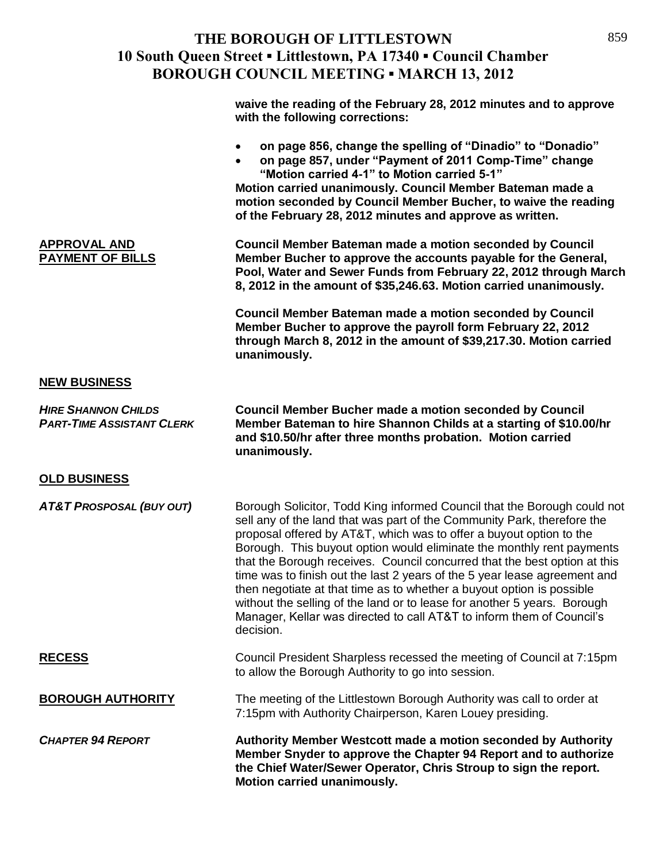| waive the reading of the February 28, 2012 minutes and to approve |  |
|-------------------------------------------------------------------|--|
| with the following corrections:                                   |  |

- **on page 856, change the spelling of "Dinadio" to "Donadio"**
- **on page 857, under "Payment of 2011 Comp-Time" change "Motion carried 4-1" to Motion carried 5-1"**

**Motion carried unanimously. Council Member Bateman made a motion seconded by Council Member Bucher, to waive the reading of the February 28, 2012 minutes and approve as written.** 

**APPROVAL AND Council Member Bateman made a motion seconded by Council Member Bucher to approve the accounts payable for the General, Pool, Water and Sewer Funds from February 22, 2012 through March 8, 2012 in the amount of \$35,246.63. Motion carried unanimously.** 

> **Council Member Bateman made a motion seconded by Council Member Bucher to approve the payroll form February 22, 2012 through March 8, 2012 in the amount of \$39,217.30. Motion carried unanimously.**

### **NEW BUSINESS**

**OLD BUSINESS**

*HIRE SHANNON CHILDS* **Council Member Bucher made a motion seconded by Council**  *PART-TIME ASSISTANT CLERK* **Member Bateman to hire Shannon Childs at a starting of \$10.00/hr and \$10.50/hr after three months probation. Motion carried unanimously.**

*AT&T PROSPOSAL (BUY OUT)* Borough Solicitor, Todd King informed Council that the Borough could not sell any of the land that was part of the Community Park, therefore the proposal offered by AT&T, which was to offer a buyout option to the Borough. This buyout option would eliminate the monthly rent payments that the Borough receives. Council concurred that the best option at this time was to finish out the last 2 years of the 5 year lease agreement and then negotiate at that time as to whether a buyout option is possible without the selling of the land or to lease for another 5 years. Borough Manager, Kellar was directed to call AT&T to inform them of Council's decision.

**RECESS** Council President Sharpless recessed the meeting of Council at 7:15pm to allow the Borough Authority to go into session.

**BOROUGH AUTHORITY** The meeting of the Littlestown Borough Authority was call to order at 7:15pm with Authority Chairperson, Karen Louey presiding.

*CHAPTER 94 REPORT* **Authority Member Westcott made a motion seconded by Authority Member Snyder to approve the Chapter 94 Report and to authorize the Chief Water/Sewer Operator, Chris Stroup to sign the report. Motion carried unanimously.**

859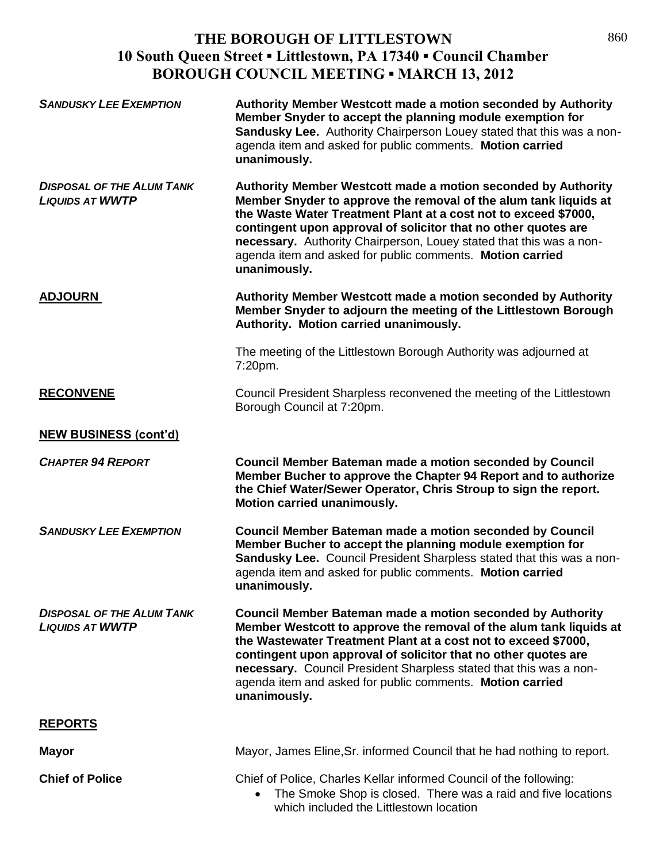| <b>SANDUSKY LEE EXEMPTION</b>                              | Authority Member Westcott made a motion seconded by Authority<br>Member Snyder to accept the planning module exemption for<br>Sandusky Lee. Authority Chairperson Louey stated that this was a non-<br>agenda item and asked for public comments. Motion carried<br>unanimously.                                                                                                                                               |
|------------------------------------------------------------|--------------------------------------------------------------------------------------------------------------------------------------------------------------------------------------------------------------------------------------------------------------------------------------------------------------------------------------------------------------------------------------------------------------------------------|
| <b>DISPOSAL OF THE ALUM TANK</b><br><b>LIQUIDS AT WWTP</b> | Authority Member Westcott made a motion seconded by Authority<br>Member Snyder to approve the removal of the alum tank liquids at<br>the Waste Water Treatment Plant at a cost not to exceed \$7000,<br>contingent upon approval of solicitor that no other quotes are<br>necessary. Authority Chairperson, Louey stated that this was a non-<br>agenda item and asked for public comments. Motion carried<br>unanimously.     |
| <b>ADJOURN</b>                                             | Authority Member Westcott made a motion seconded by Authority<br>Member Snyder to adjourn the meeting of the Littlestown Borough<br>Authority. Motion carried unanimously.                                                                                                                                                                                                                                                     |
|                                                            | The meeting of the Littlestown Borough Authority was adjourned at<br>7:20pm.                                                                                                                                                                                                                                                                                                                                                   |
| <b>RECONVENE</b>                                           | Council President Sharpless reconvened the meeting of the Littlestown<br>Borough Council at 7:20pm.                                                                                                                                                                                                                                                                                                                            |
| <b>NEW BUSINESS (cont'd)</b>                               |                                                                                                                                                                                                                                                                                                                                                                                                                                |
| <b>CHAPTER 94 REPORT</b>                                   | <b>Council Member Bateman made a motion seconded by Council</b><br>Member Bucher to approve the Chapter 94 Report and to authorize<br>the Chief Water/Sewer Operator, Chris Stroup to sign the report.<br><b>Motion carried unanimously.</b>                                                                                                                                                                                   |
| <b>SANDUSKY LEE EXEMPTION</b>                              | <b>Council Member Bateman made a motion seconded by Council</b><br>Member Bucher to accept the planning module exemption for<br>Sandusky Lee. Council President Sharpless stated that this was a non-<br>agenda item and asked for public comments. Motion carried<br>unanimously.                                                                                                                                             |
| <b>DISPOSAL OF THE ALUM TANK</b><br><b>LIQUIDS AT WWTP</b> | <b>Council Member Bateman made a motion seconded by Authority</b><br>Member Westcott to approve the removal of the alum tank liquids at<br>the Wastewater Treatment Plant at a cost not to exceed \$7000,<br>contingent upon approval of solicitor that no other quotes are<br>necessary. Council President Sharpless stated that this was a non-<br>agenda item and asked for public comments. Motion carried<br>unanimously. |
| <b>REPORTS</b>                                             |                                                                                                                                                                                                                                                                                                                                                                                                                                |
| <b>Mayor</b>                                               | Mayor, James Eline, Sr. informed Council that he had nothing to report.                                                                                                                                                                                                                                                                                                                                                        |
| <b>Chief of Police</b>                                     | Chief of Police, Charles Kellar informed Council of the following:<br>The Smoke Shop is closed. There was a raid and five locations<br>which included the Littlestown location                                                                                                                                                                                                                                                 |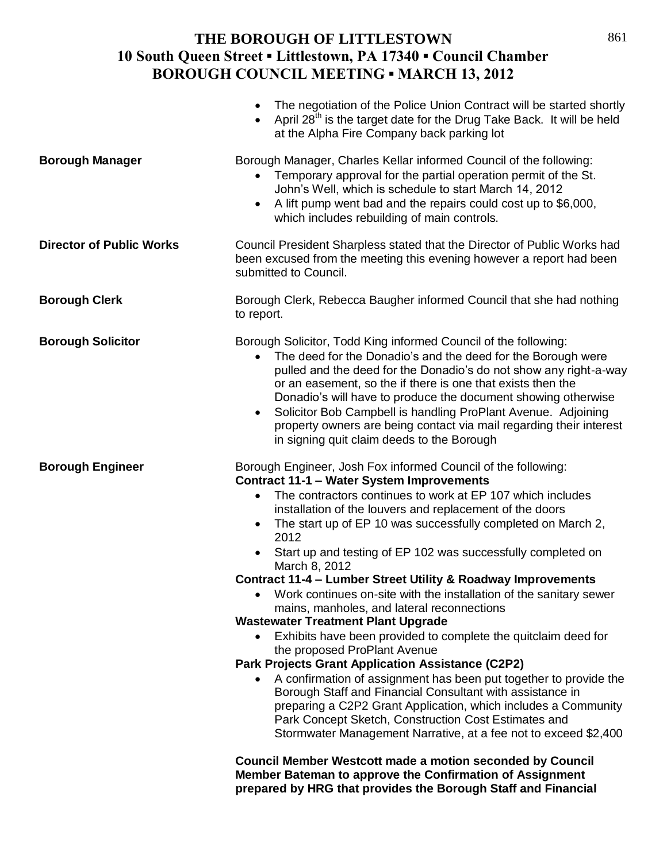|                                 | The negotiation of the Police Union Contract will be started shortly<br>$\bullet$<br>April 28 <sup>th</sup> is the target date for the Drug Take Back. It will be held<br>at the Alpha Fire Company back parking lot                                                                                                                                                                                                                                                                                                                                                                                                                                                                                                                                                                                                                                                                                                                                                                                                                                                                                                                       |
|---------------------------------|--------------------------------------------------------------------------------------------------------------------------------------------------------------------------------------------------------------------------------------------------------------------------------------------------------------------------------------------------------------------------------------------------------------------------------------------------------------------------------------------------------------------------------------------------------------------------------------------------------------------------------------------------------------------------------------------------------------------------------------------------------------------------------------------------------------------------------------------------------------------------------------------------------------------------------------------------------------------------------------------------------------------------------------------------------------------------------------------------------------------------------------------|
| <b>Borough Manager</b>          | Borough Manager, Charles Kellar informed Council of the following:<br>Temporary approval for the partial operation permit of the St.<br>John's Well, which is schedule to start March 14, 2012<br>A lift pump went bad and the repairs could cost up to \$6,000,<br>which includes rebuilding of main controls.                                                                                                                                                                                                                                                                                                                                                                                                                                                                                                                                                                                                                                                                                                                                                                                                                            |
| <b>Director of Public Works</b> | Council President Sharpless stated that the Director of Public Works had<br>been excused from the meeting this evening however a report had been<br>submitted to Council.                                                                                                                                                                                                                                                                                                                                                                                                                                                                                                                                                                                                                                                                                                                                                                                                                                                                                                                                                                  |
| <b>Borough Clerk</b>            | Borough Clerk, Rebecca Baugher informed Council that she had nothing<br>to report.                                                                                                                                                                                                                                                                                                                                                                                                                                                                                                                                                                                                                                                                                                                                                                                                                                                                                                                                                                                                                                                         |
| <b>Borough Solicitor</b>        | Borough Solicitor, Todd King informed Council of the following:<br>The deed for the Donadio's and the deed for the Borough were<br>pulled and the deed for the Donadio's do not show any right-a-way<br>or an easement, so the if there is one that exists then the<br>Donadio's will have to produce the document showing otherwise<br>Solicitor Bob Campbell is handling ProPlant Avenue. Adjoining<br>$\bullet$<br>property owners are being contact via mail regarding their interest<br>in signing quit claim deeds to the Borough                                                                                                                                                                                                                                                                                                                                                                                                                                                                                                                                                                                                    |
| <b>Borough Engineer</b>         | Borough Engineer, Josh Fox informed Council of the following:<br><b>Contract 11-1 - Water System Improvements</b><br>The contractors continues to work at EP 107 which includes<br>$\bullet$<br>installation of the louvers and replacement of the doors<br>The start up of EP 10 was successfully completed on March 2,<br>2012<br>Start up and testing of EP 102 was successfully completed on<br>March 8, 2012<br>Contract 11-4 - Lumber Street Utility & Roadway Improvements<br>• Work continues on-site with the installation of the sanitary sewer<br>mains, manholes, and lateral reconnections<br><b>Wastewater Treatment Plant Upgrade</b><br>Exhibits have been provided to complete the quitclaim deed for<br>the proposed ProPlant Avenue<br>Park Projects Grant Application Assistance (C2P2)<br>A confirmation of assignment has been put together to provide the<br>Borough Staff and Financial Consultant with assistance in<br>preparing a C2P2 Grant Application, which includes a Community<br>Park Concept Sketch, Construction Cost Estimates and<br>Stormwater Management Narrative, at a fee not to exceed \$2,400 |
|                                 | <b>Council Member Westcott made a motion seconded by Council</b><br>Member Bateman to approve the Confirmation of Assignment                                                                                                                                                                                                                                                                                                                                                                                                                                                                                                                                                                                                                                                                                                                                                                                                                                                                                                                                                                                                               |

**prepared by HRG that provides the Borough Staff and Financial**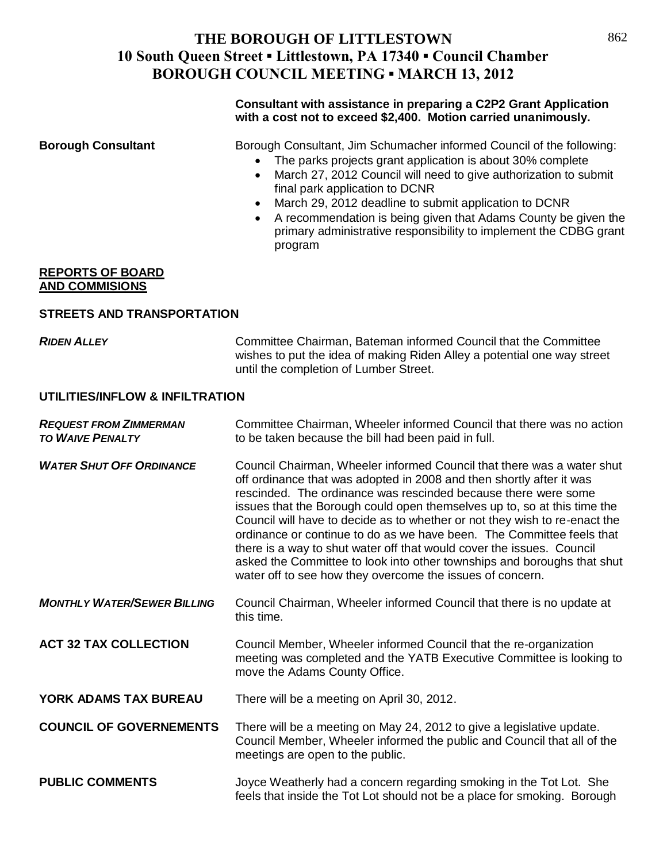### **Consultant with assistance in preparing a C2P2 Grant Application with a cost not to exceed \$2,400. Motion carried unanimously.**

**Borough Consultant** Borough Consultant, Jim Schumacher informed Council of the following:

- The parks projects grant application is about 30% complete
- March 27, 2012 Council will need to give authorization to submit final park application to DCNR
- March 29, 2012 deadline to submit application to DCNR
- A recommendation is being given that Adams County be given the primary administrative responsibility to implement the CDBG grant program

#### **REPORTS OF BOARD AND COMMISIONS**

### **STREETS AND TRANSPORTATION**

*RIDEN ALLEY* Committee Chairman, Bateman informed Council that the Committee wishes to put the idea of making Riden Alley a potential one way street until the completion of Lumber Street.

### **UTILITIES/INFLOW & INFILTRATION**

| <b>REQUEST FROM ZIMMERMAN</b><br><b>TO WAIVE PENALTY</b> | Committee Chairman, Wheeler informed Council that there was no action<br>to be taken because the bill had been paid in full.                                                                                                                                                                                                                                                                                                                                                                                                                                                                                                                                         |
|----------------------------------------------------------|----------------------------------------------------------------------------------------------------------------------------------------------------------------------------------------------------------------------------------------------------------------------------------------------------------------------------------------------------------------------------------------------------------------------------------------------------------------------------------------------------------------------------------------------------------------------------------------------------------------------------------------------------------------------|
| <b>WATER SHUT OFF ORDINANCE</b>                          | Council Chairman, Wheeler informed Council that there was a water shut<br>off ordinance that was adopted in 2008 and then shortly after it was<br>rescinded. The ordinance was rescinded because there were some<br>issues that the Borough could open themselves up to, so at this time the<br>Council will have to decide as to whether or not they wish to re-enact the<br>ordinance or continue to do as we have been. The Committee feels that<br>there is a way to shut water off that would cover the issues. Council<br>asked the Committee to look into other townships and boroughs that shut<br>water off to see how they overcome the issues of concern. |
| <b>MONTHLY WATER/SEWER BILLING</b>                       | Council Chairman, Wheeler informed Council that there is no update at<br>this time.                                                                                                                                                                                                                                                                                                                                                                                                                                                                                                                                                                                  |
| <b>ACT 32 TAX COLLECTION</b>                             | Council Member, Wheeler informed Council that the re-organization<br>meeting was completed and the YATB Executive Committee is looking to<br>move the Adams County Office.                                                                                                                                                                                                                                                                                                                                                                                                                                                                                           |
| YORK ADAMS TAX BUREAU                                    | There will be a meeting on April 30, 2012.                                                                                                                                                                                                                                                                                                                                                                                                                                                                                                                                                                                                                           |
| <b>COUNCIL OF GOVERNEMENTS</b>                           | There will be a meeting on May 24, 2012 to give a legislative update.<br>Council Member, Wheeler informed the public and Council that all of the<br>meetings are open to the public.                                                                                                                                                                                                                                                                                                                                                                                                                                                                                 |
| <b>PUBLIC COMMENTS</b>                                   | Joyce Weatherly had a concern regarding smoking in the Tot Lot. She<br>feels that inside the Tot Lot should not be a place for smoking. Borough                                                                                                                                                                                                                                                                                                                                                                                                                                                                                                                      |